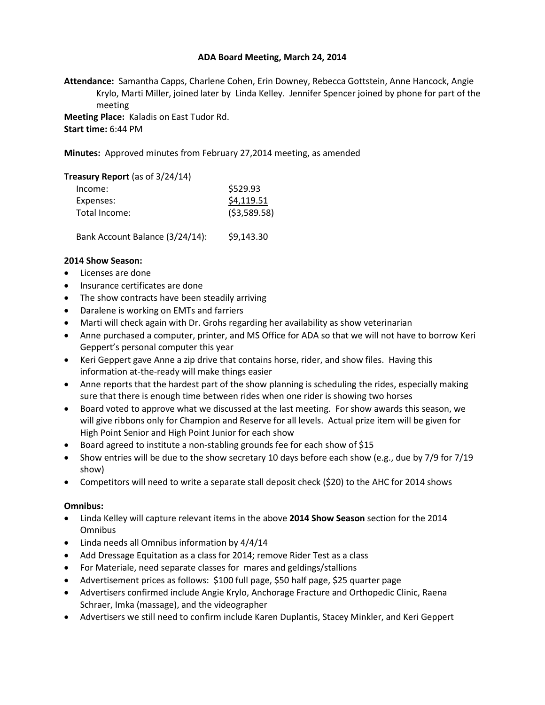# **ADA Board Meeting, March 24, 2014**

**Attendance:** Samantha Capps, Charlene Cohen, Erin Downey, Rebecca Gottstein, Anne Hancock, Angie Krylo, Marti Miller, joined later by Linda Kelley. Jennifer Spencer joined by phone for part of the meeting

**Meeting Place:** Kaladis on East Tudor Rd. **Start time:** 6:44 PM

**Minutes:** Approved minutes from February 27,2014 meeting, as amended

#### **Treasury Report** (as of 3/24/14)

| \$529.93    |
|-------------|
| \$4,119.51  |
| (53,589.58) |
|             |

Bank Account Balance (3/24/14): \$9,143.30

### **2014 Show Season:**

- Licenses are done
- Insurance certificates are done
- The show contracts have been steadily arriving
- Daralene is working on EMTs and farriers
- Marti will check again with Dr. Grohs regarding her availability as show veterinarian
- Anne purchased a computer, printer, and MS Office for ADA so that we will not have to borrow Keri Geppert's personal computer this year
- Keri Geppert gave Anne a zip drive that contains horse, rider, and show files. Having this information at-the-ready will make things easier
- Anne reports that the hardest part of the show planning is scheduling the rides, especially making sure that there is enough time between rides when one rider is showing two horses
- Board voted to approve what we discussed at the last meeting. For show awards this season, we will give ribbons only for Champion and Reserve for all levels. Actual prize item will be given for High Point Senior and High Point Junior for each show
- Board agreed to institute a non-stabling grounds fee for each show of \$15
- Show entries will be due to the show secretary 10 days before each show (e.g., due by 7/9 for 7/19 show)
- Competitors will need to write a separate stall deposit check (\$20) to the AHC for 2014 shows

# **Omnibus:**

- Linda Kelley will capture relevant items in the above **2014 Show Season** section for the 2014 **Omnibus**
- Linda needs all Omnibus information by 4/4/14
- Add Dressage Equitation as a class for 2014; remove Rider Test as a class
- For Materiale, need separate classes for mares and geldings/stallions
- Advertisement prices as follows: \$100 full page, \$50 half page, \$25 quarter page
- Advertisers confirmed include Angie Krylo, Anchorage Fracture and Orthopedic Clinic, Raena Schraer, Imka (massage), and the videographer
- Advertisers we still need to confirm include Karen Duplantis, Stacey Minkler, and Keri Geppert